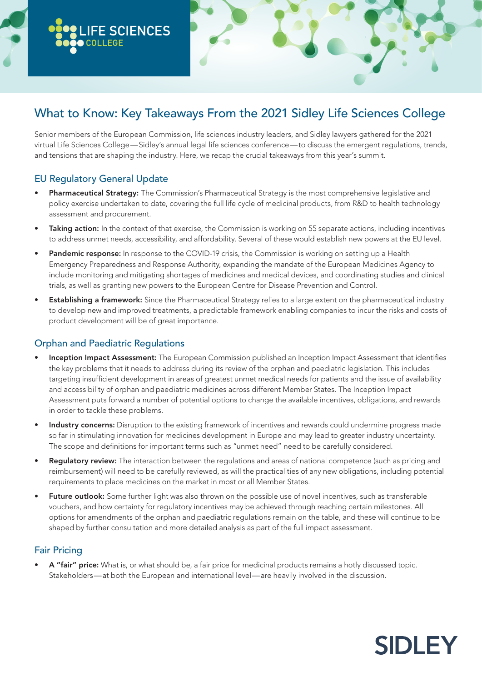# What to Know: Key Takeaways From the 2021 Sidley Life Sciences College

Senior members of the European Commission, life sciences industry leaders, and Sidley lawyers gathered for the 2021 virtual Life Sciences College—Sidley's annual legal life sciences conference—to discuss the emergent regulations, trends, and tensions that are shaping the industry. Here, we recap the crucial takeaways from this year's summit.

### EU Regulatory General Update

**LIFE SCIENCES**

**COLLEGE**

- **Pharmaceutical Strategy:** The Commission's Pharmaceutical Strategy is the most comprehensive legislative and policy exercise undertaken to date, covering the full life cycle of medicinal products, from R&D to health technology assessment and procurement.
- Taking action: In the context of that exercise, the Commission is working on 55 separate actions, including incentives to address unmet needs, accessibility, and affordability. Several of these would establish new powers at the EU level.
- Pandemic response: In response to the COVID-19 crisis, the Commission is working on setting up a Health Emergency Preparedness and Response Authority, expanding the mandate of the European Medicines Agency to include monitoring and mitigating shortages of medicines and medical devices, and coordinating studies and clinical trials, as well as granting new powers to the European Centre for Disease Prevention and Control.
- **Establishing a framework:** Since the Pharmaceutical Strategy relies to a large extent on the pharmaceutical industry to develop new and improved treatments, a predictable framework enabling companies to incur the risks and costs of product development will be of great importance.

#### Orphan and Paediatric Regulations

- Inception Impact Assessment: The European Commission published an Inception Impact Assessment that identifies the key problems that it needs to address during its review of the orphan and paediatric legislation. This includes targeting insufficient development in areas of greatest unmet medical needs for patients and the issue of availability and accessibility of orphan and paediatric medicines across different Member States. The Inception Impact Assessment puts forward a number of potential options to change the available incentives, obligations, and rewards in order to tackle these problems.
- Industry concerns: Disruption to the existing framework of incentives and rewards could undermine progress made so far in stimulating innovation for medicines development in Europe and may lead to greater industry uncertainty. The scope and definitions for important terms such as "unmet need" need to be carefully considered.
- Regulatory review: The interaction between the regulations and areas of national competence (such as pricing and reimbursement) will need to be carefully reviewed, as will the practicalities of any new obligations, including potential requirements to place medicines on the market in most or all Member States.
- Future outlook: Some further light was also thrown on the possible use of novel incentives, such as transferable vouchers, and how certainty for regulatory incentives may be achieved through reaching certain milestones. All options for amendments of the orphan and paediatric regulations remain on the table, and these will continue to be shaped by further consultation and more detailed analysis as part of the full impact assessment.

#### Fair Pricing

• A "fair" price: What is, or what should be, a fair price for medicinal products remains a hotly discussed topic. Stakeholders—at both the European and international level—are heavily involved in the discussion.

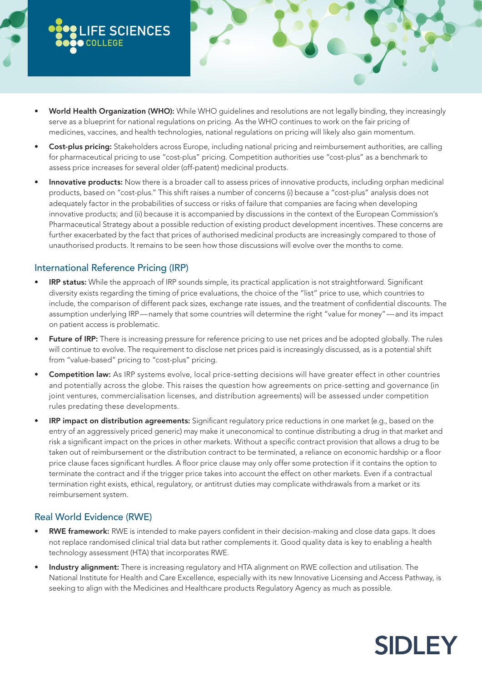- World Health Organization (WHO): While WHO guidelines and resolutions are not legally binding, they increasingly serve as a blueprint for national regulations on pricing. As the WHO continues to work on the fair pricing of medicines, vaccines, and health technologies, national regulations on pricing will likely also gain momentum.
- Cost-plus pricing: Stakeholders across Europe, including national pricing and reimbursement authorities, are calling for pharmaceutical pricing to use "cost-plus" pricing. Competition authorities use "cost-plus" as a benchmark to assess price increases for several older (off-patent) medicinal products.
- Innovative products: Now there is a broader call to assess prices of innovative products, including orphan medicinal products, based on "cost-plus." This shift raises a number of concerns (i) because a "cost-plus" analysis does not adequately factor in the probabilities of success or risks of failure that companies are facing when developing innovative products; and (ii) because it is accompanied by discussions in the context of the European Commission's Pharmaceutical Strategy about a possible reduction of existing product development incentives. These concerns are further exacerbated by the fact that prices of authorised medicinal products are increasingly compared to those of unauthorised products. It remains to be seen how those discussions will evolve over the months to come.

### International Reference Pricing (IRP)

**LIFE SCIENCES**

**COLLEGE**

- **IRP status:** While the approach of IRP sounds simple, its practical application is not straightforward. Significant diversity exists regarding the timing of price evaluations, the choice of the "list" price to use, which countries to include, the comparison of different pack sizes, exchange rate issues, and the treatment of confidential discounts. The assumption underlying IRP—namely that some countries will determine the right "value for money"—and its impact on patient access is problematic.
- Future of IRP: There is increasing pressure for reference pricing to use net prices and be adopted globally. The rules will continue to evolve. The requirement to disclose net prices paid is increasingly discussed, as is a potential shift from "value-based" pricing to "cost-plus" pricing.
- Competition law: As IRP systems evolve, local price-setting decisions will have greater effect in other countries and potentially across the globe. This raises the question how agreements on price-setting and governance (in joint ventures, commercialisation licenses, and distribution agreements) will be assessed under competition rules predating these developments.
- IRP impact on distribution agreements: Significant regulatory price reductions in one market (e.g., based on the entry of an aggressively priced generic) may make it uneconomical to continue distributing a drug in that market and risk a significant impact on the prices in other markets. Without a specific contract provision that allows a drug to be taken out of reimbursement or the distribution contract to be terminated, a reliance on economic hardship or a floor price clause faces significant hurdles. A floor price clause may only offer some protection if it contains the option to terminate the contract and if the trigger price takes into account the effect on other markets. Even if a contractual termination right exists, ethical, regulatory, or antitrust duties may complicate withdrawals from a market or its reimbursement system.

#### Real World Evidence (RWE)

- RWE framework: RWE is intended to make payers confident in their decision-making and close data gaps. It does not replace randomised clinical trial data but rather complements it. Good quality data is key to enabling a health technology assessment (HTA) that incorporates RWE.
- Industry alignment: There is increasing regulatory and HTA alignment on RWE collection and utilisation. The National Institute for Health and Care Excellence, especially with its new Innovative Licensing and Access Pathway, is seeking to align with the Medicines and Healthcare products Regulatory Agency as much as possible.

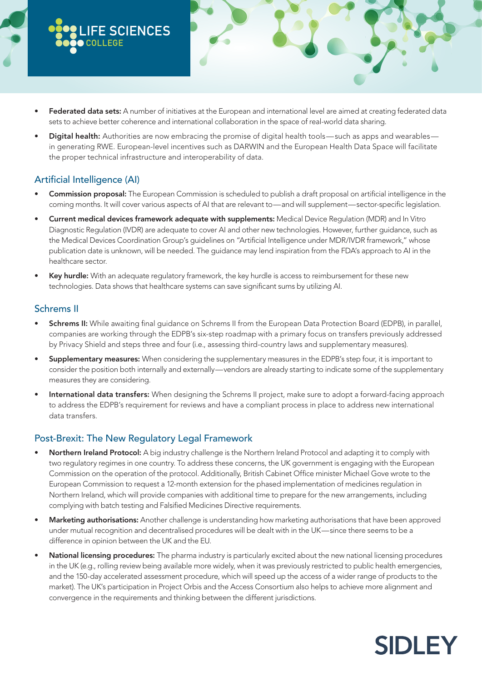- Federated data sets: A number of initiatives at the European and international level are aimed at creating federated data sets to achieve better coherence and international collaboration in the space of real-world data sharing.
- Digital health: Authorities are now embracing the promise of digital health tools—such as apps and wearables in generating RWE. European-level incentives such as DARWIN and the European Health Data Space will facilitate the proper technical infrastructure and interoperability of data.

## Artificial Intelligence (AI)

**LIFE SCIENCES**

**COLLEGE**

- Commission proposal: The European Commission is scheduled to publish a draft proposal on artificial intelligence in the coming months. It will cover various aspects of AI that are relevant to—and will supplement—sector-specific legislation.
- Current medical devices framework adequate with supplements: Medical Device Regulation (MDR) and In Vitro Diagnostic Regulation (IVDR) are adequate to cover AI and other new technologies. However, further guidance, such as the Medical Devices Coordination Group's guidelines on "Artificial Intelligence under MDR/IVDR framework," whose publication date is unknown, will be needed. The guidance may lend inspiration from the FDA's approach to AI in the healthcare sector.
- Key hurdle: With an adequate regulatory framework, the key hurdle is access to reimbursement for these new technologies. Data shows that healthcare systems can save significant sums by utilizing AI.

#### Schrems II

- **Schrems II:** While awaiting final guidance on Schrems II from the European Data Protection Board (EDPB), in parallel, companies are working through the EDPB's six-step roadmap with a primary focus on transfers previously addressed by Privacy Shield and steps three and four (i.e., assessing third-country laws and supplementary measures).
- Supplementary measures: When considering the supplementary measures in the EDPB's step four, it is important to consider the position both internally and externally—vendors are already starting to indicate some of the supplementary measures they are considering.
- International data transfers: When designing the Schrems II project, make sure to adopt a forward-facing approach to address the EDPB's requirement for reviews and have a compliant process in place to address new international data transfers.

### Post-Brexit: The New Regulatory Legal Framework

- Northern Ireland Protocol: A big industry challenge is the Northern Ireland Protocol and adapting it to comply with two regulatory regimes in one country. To address these concerns, the UK government is engaging with the European Commission on the operation of the protocol. Additionally, British Cabinet Office minister Michael Gove wrote to the European Commission to request a 12-month extension for the phased implementation of medicines regulation in Northern Ireland, which will provide companies with additional time to prepare for the new arrangements, including complying with batch testing and Falsified Medicines Directive requirements.
- Marketing authorisations: Another challenge is understanding how marketing authorisations that have been approved under mutual recognition and decentralised procedures will be dealt with in the UK—since there seems to be a difference in opinion between the UK and the EU.
- National licensing procedures: The pharma industry is particularly excited about the new national licensing procedures in the UK (e.g., rolling review being available more widely, when it was previously restricted to public health emergencies, and the 150-day accelerated assessment procedure, which will speed up the access of a wider range of products to the market). The UK's participation in Project Orbis and the Access Consortium also helps to achieve more alignment and convergence in the requirements and thinking between the different jurisdictions.

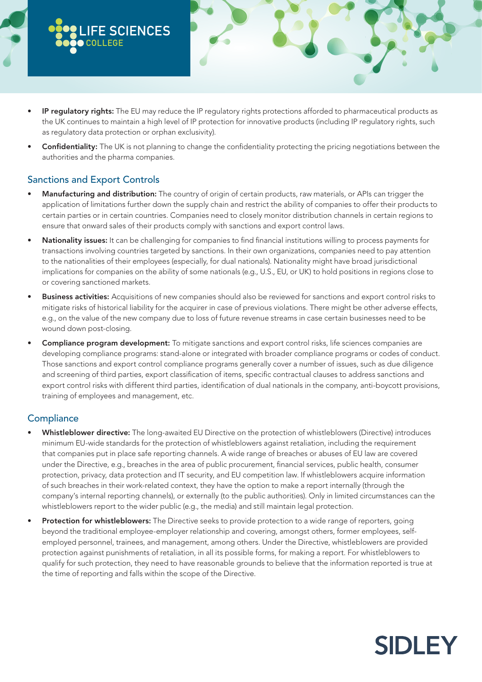

- IP regulatory rights: The EU may reduce the IP regulatory rights protections afforded to pharmaceutical products as the UK continues to maintain a high level of IP protection for innovative products (including IP regulatory rights, such as regulatory data protection or orphan exclusivity).
- Confidentiality: The UK is not planning to change the confidentiality protecting the pricing negotiations between the authorities and the pharma companies.

## Sanctions and Export Controls

- Manufacturing and distribution: The country of origin of certain products, raw materials, or APIs can trigger the application of limitations further down the supply chain and restrict the ability of companies to offer their products to certain parties or in certain countries. Companies need to closely monitor distribution channels in certain regions to ensure that onward sales of their products comply with sanctions and export control laws.
- Nationality issues: It can be challenging for companies to find financial institutions willing to process payments for transactions involving countries targeted by sanctions. In their own organizations, companies need to pay attention to the nationalities of their employees (especially, for dual nationals). Nationality might have broad jurisdictional implications for companies on the ability of some nationals (e.g., U.S., EU, or UK) to hold positions in regions close to or covering sanctioned markets.
- **Business activities:** Acquisitions of new companies should also be reviewed for sanctions and export control risks to mitigate risks of historical liability for the acquirer in case of previous violations. There might be other adverse effects, e.g., on the value of the new company due to loss of future revenue streams in case certain businesses need to be wound down post-closing.
- Compliance program development: To mitigate sanctions and export control risks, life sciences companies are developing compliance programs: stand-alone or integrated with broader compliance programs or codes of conduct. Those sanctions and export control compliance programs generally cover a number of issues, such as due diligence and screening of third parties, export classification of items, specific contractual clauses to address sanctions and export control risks with different third parties, identification of dual nationals in the company, anti-boycott provisions, training of employees and management, etc.

## **Compliance**

- Whistleblower directive: The long-awaited EU Directive on the protection of whistleblowers (Directive) introduces minimum EU-wide standards for the protection of whistleblowers against retaliation, including the requirement that companies put in place safe reporting channels. A wide range of breaches or abuses of EU law are covered under the Directive, e.g., breaches in the area of public procurement, financial services, public health, consumer protection, privacy, data protection and IT security, and EU competition law. If whistleblowers acquire information of such breaches in their work-related context, they have the option to make a report internally (through the company's internal reporting channels), or externally (to the public authorities). Only in limited circumstances can the whistleblowers report to the wider public (e.g., the media) and still maintain legal protection.
- Protection for whistleblowers: The Directive seeks to provide protection to a wide range of reporters, going beyond the traditional employee-employer relationship and covering, amongst others, former employees, selfemployed personnel, trainees, and management, among others. Under the Directive, whistleblowers are provided protection against punishments of retaliation, in all its possible forms, for making a report. For whistleblowers to qualify for such protection, they need to have reasonable grounds to believe that the information reported is true at the time of reporting and falls within the scope of the Directive.